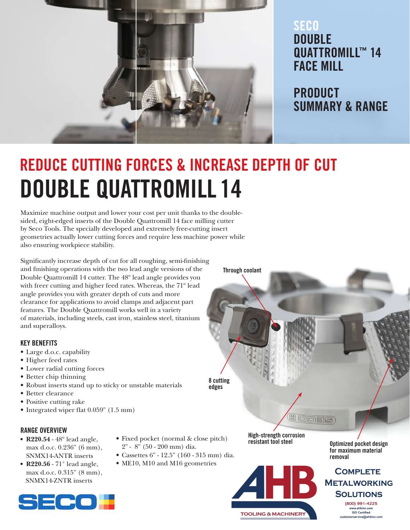

### SECO DOUBLE QUATTROMILL™ 14 FACE MILL

PRODUCT SUMMARY & RANGE

# REDUCE CUTTING FORCES & INCREASE DEPTH OF CUT DOUBLE QUATTROMILL 14

Maximize machine output and lower your cost per unit thanks to the doublesided, eight-edged inserts of the Double Quattromill 14 face milling cutter by Seco Tools. The specially developed and extremely free-cutting insert geometries actually lower cutting forces and require less machine power while also ensuring workpiece stability.

Significantly increase depth of cut for all roughing, semi-finishing and finishing operations with the two lead angle versions of the Double Quattromill 14 cutter. The 48º lead angle provides you with freer cutting and higher feed rates. Whereas, the 71º lead angle provides you with greater depth of cuts and more clearance for applications to avoid clamps and adjacent part features. The Double Quattromill works well in a variety of materials, including steels, cast iron, stainless steel, titanium and superalloys.

#### KEY BENEFITS

- Large d.o.c. capability
- Higher feed rates
- Lower radial cutting forces
- Better chip thinning
- Robust inserts stand up to sticky or unstable materials
- Better clearance
- Positive cutting rake
- Integrated wiper flat 0.059" (1.5 mm)

#### RANGE OVERVIEW

- R220.54 48º lead angle, max d.o.c. 0.236" (6 mm), SNMX14-ANTR inserts
- R220.56 71° lead angle, max d.o.c. 0.315" (8 mm), SNMX14-ZNTR inserts
- Fixed pocket (normal & close pitch) 2" - 8" (50 - 200 mm) dia.

8 cutting edges

Through coolant

- Cassettes 6" 12.5" (160 315 mm) dia.
- ME10, M10 and M16 geometries



**TOOLING & MACHINERY** 

High-strength corrosion

HOSES

Optimized pocket design for maximum material removal

#### **COMPLETE METALWORKING SOLUTIONS** (800) 991-4225 ahbinc.co **ISO Certified**

nerservice@ahbinc.com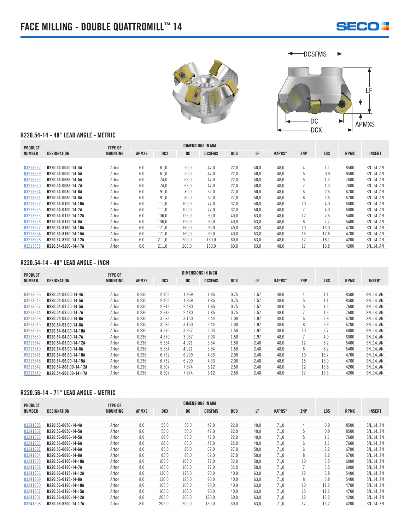





#### R220.54-14 - 48° LEAD ANGLE - METRIC

| <b>PRODUCT</b> |                     | <b>TYPE OF</b>  |              |       |       | <b>DIMENSIONS IN MM</b> |      |      |               |     |            |             |               |
|----------------|---------------------|-----------------|--------------|-------|-------|-------------------------|------|------|---------------|-----|------------|-------------|---------------|
| <b>NUMBER</b>  | DESIGNATION         | <b>MOUNTING</b> | <b>APMXS</b> | DCX   | DC    | <b>DCSFMS</b>           | DCB  | LF   | <b>KAPRS°</b> | ZNP | <b>LBS</b> | <b>RPMX</b> | <b>INSERT</b> |
|                |                     |                 |              |       |       |                         |      |      |               |     |            |             |               |
| 0321362        | R220.54-0050-14-4A  | Arbor           | 6,0          | 61.0  | 50.0  | 47,0                    | 22.0 | 40.0 | 48.0          | 4   | 1,1        | 8500        | <b>SN14AN</b> |
| 03213629       | R220.54-0050-14-5A  | Arbor           | 6,0          | 61.0  | 50.0  | 47.0                    | 22.0 | 40.0 | 48.0          | 5   | 0,9        | 8500        | SN14AN        |
| 03213623       | R220.54-0063-14-5A  | Arbor           | 6,0          | 74.0  | 63.0  | 47.0                    | 22.0 | 40.0 | 48.0          | 5   | 1,3        | 7600        | <b>SN14AN</b> |
| 03213630       | R220.54-0063-14-7A  | Arbor           | 6,0          | 74.0  | 63,0  | 47,0                    | 22.0 | 40.0 | 48.0          |     | 1,3        | 7600        | <b>SN14AN</b> |
| 03213624       | R220.54-0080-14-6A  | Arbor           | 6,0          | 91.0  | 80,0  | 62,0                    | 27.0 | 50,0 | 48.0          | 6   | 2,6        | 6700        | <b>SN14AN</b> |
| 03213631       | R220.54-0080-14-8A  | Arbor           | 6,0          | 91,0  | 80,0  | 62,0                    | 27,0 | 50,0 | 48,0          | 8   | 2,6        | 6700        | <b>SN14AN</b> |
| 03213632       | R220.54-0100-14-10A | Arbor           | 6.0          | 111.0 | 100.0 | 77,0                    | 32.0 | 50.0 | 48.0          | 10  | 4,0        | 6000        | <b>SN14AN</b> |
| 03213625       | R220.54-0100-14-7A  | Arbor           | 6,0          | 111,0 | 100.0 | 77.0                    | 32.0 | 50,0 | 48.0          |     | 4,0        | 6000        | <b>SN14AN</b> |
| 03213633       | R220.54-0125-14-12A | Arbor           | 6.0          | 136.0 | 125.0 | 90.0                    | 40.0 | 63.0 | 48.0          | 12  | 7.5        | 5400        | <b>SN14AN</b> |
| 03213626       | R220.54-0125-14-8A  | Arbor           | 6,0          | 136,0 | 125,0 | 90.0                    | 40.0 | 63,0 | 48.0          | 8   | 7,7        | 5400        | <b>SN14AN</b> |
| 0321362        | R220.54-8160-14-10A | Arbor           | 6,0          | 171.0 | 160.0 | 90,0                    | 40.0 | 63.0 | 48.0          | 10  | 13.0       | 4700        | <b>SN14AN</b> |
| 03213634       | R220.54-8160-14-15A | Arbor           | 6,0          | 171.0 | 160,0 | 90,0                    | 40.0 | 63.0 | 48.0          | 15  | 12,8       | 4700        | <b>SN14AN</b> |
| 03213628       | R220.54-8200-14-12A | Arbor           | 6,0          | 211,0 | 200,0 | 130,0                   | 60.0 | 63,0 | 48.0          | 12  | 18,1       | 4200        | SN14AN        |
| 03213635       | R220.54-8200-14-17A | Arbor           | 6.0          | 211.0 | 200.0 | 130.0                   | 60.0 | 63.0 | 48.0          | 17  | 16.8       | 4200        | <b>SN14AN</b> |

#### R220.54-14 - 48° LEAD ANGLE - INCH

| <b>PRODUCT</b> |                       | <b>TYPE OF</b>  |              |            |       | <b>DIMENSIONS IN INCH</b> |            |      |               |     |            |             |               |
|----------------|-----------------------|-----------------|--------------|------------|-------|---------------------------|------------|------|---------------|-----|------------|-------------|---------------|
| <b>NUMBER</b>  | DESIGNATION           | <b>MOUNTING</b> | <b>APMXS</b> | <b>DCX</b> | DC    | <b>DCSFMS</b>             | <b>DCB</b> | LF   | <b>KAPRS°</b> | ZNP | <b>LBS</b> | <b>RPMX</b> | <b>INSERT</b> |
|                |                       |                 |              |            |       |                           |            |      |               |     |            |             |               |
| 03213636       | R220.54-02.00-14-4A   | Arbor           | 0.236        | 2.402      | 1.969 | 1.85                      | 0.75       | 1.57 | 48.0          | 4   | 1.1        | 8500        | SN., 14., AN  |
| 03213643       | R220.54-02.00-14-5A   | Arbor           | 0.236        | 2.402      | 1.969 | 1.85                      | 0.75       | 1.57 | 48.0          | 5   | 1.1        | 8500        | SN., 14., AN  |
| 03213637       | R220.54-02.50-14-5A   | Arbor           | 0.236        | 2.913      | 2.480 | 1.85                      | 0.75       | 1.57 | 48.0          | 5   | 1.3        | 7600        | SN., 14., AN  |
| 03213644       | R220.54-02.50-14-7A   | Arbor           | 0.236        | 2.913      | 2.480 | 1.85                      | 0.75       | 1.57 | 48.0          |     | 1.3        | 7600        | SN., 14., AN  |
| 03213638       | R220.54-03.00-14-6A   | Arbor           | 0.236        | 3.583      | 3.150 | 2.44                      | 1.00       | 1.97 | 48.0          | 6   | 2.9        | 6700        | SN., 14., AN  |
| 03213645       | R220.54-03.00-14-8A   | Arbor           | 0.236        | 3.583      | 3.150 | 2.44                      | 1.00       | 1.97 | 48.0          | 8   | 2.9        | 6700        | SN., 14., AN  |
| 03213646       | R220.54-04.00-14-10A  | Arbor           | 0.236        | 4.370      | 3.937 | 3.03                      | 1.50       | 1.97 | 48.0          | 10  | 3.7        | 6000        | SN., 14., AN  |
| 03213639       | R220.54-04.00-14-7A   | Arbor           | 0.236        | 4.370      | 3.937 | 3.03                      | 1.50       | 1.97 | 48.0          |     | 4.0        | 6000        | SN., 14., AN  |
| 03213647       | R220.54-05.00-14-12A  | Arbor           | 0.236        | 5.354      | 4.921 | 3.54                      | 1.50       | 2.48 | 48.0          | 12  | 8.2        | 5400        | SN., 14., AN  |
| 03213640       | R220.54-05.00-14-8A   | Arbor           | 0.236        | 5.354      | 4.921 | 3.54                      | 1.50       | 2.48 | 48.0          | 8   | 8.2        | 5400        | SN., 14., AN  |
| 03213641       | R220.54-06.00-14-10A  | Arbor           | 0.236        | 6.732      | 6.299 | 4.33                      | 2.00       | 2.48 | 48.0          | 10  | 13.7       | 4700        | SN., 14., AN  |
| 03213648       | R220.54-06.00-14-15A  | Arbor           | 0.236        | 6.732      | 6.299 | 4.33                      | 2.00       | 2.48 | 48.0          | 15  | 15.0       | 4700        | SN., 14., AN  |
| 03213642       | R220.54-808.00-14-12A | Arbor           | 0.236        | 8.307      | 7.874 | 5.12                      | 2.50       | 2.48 | 48.0          | 12  | 16.8       | 4200        | SN., 14., AN  |
| 03213649       | R220.54-808.00-14-17A | Arbor           | 0.236        | 8.307      | 7.874 | 5.12                      | 2.50       | 2.48 | 48.0          | 17  | 16.5       | 4200        | SN., 14., AN  |

#### R220.56-14 - 71° LEAD ANGLE - METRIC

| <b>PRODUCT</b> |                     | <b>TYPE OF</b>  | <b>DIMENSIONS IN MM</b> |            |       |               |            |      |               |     |            |             |               |
|----------------|---------------------|-----------------|-------------------------|------------|-------|---------------|------------|------|---------------|-----|------------|-------------|---------------|
| <b>NUMBER</b>  | DESIGNATION         | <b>MOUNTING</b> | <b>APMXS</b>            | <b>DCX</b> | DC    | <b>DCSFMS</b> | <b>DCB</b> | LF   | <b>KAPRS°</b> | ZNP | <b>LBS</b> | <b>RPMX</b> | <b>INSERT</b> |
|                |                     |                 |                         |            |       |               |            |      |               |     |            |             |               |
| 03241895       | R220.56-0050-14-4A  | Arbor           | 8,0                     | 55.0       | 50.0  | 47.0          | 22.0       | 40,0 | 71.0          | 4   | 0.9        | 8500        | SN., 14., ZN  |
| 03241902       | R220.56-0050-14-5A  | Arbor           | 8,0                     | 55.0       | 50,0  | 47.0          | 22.0       | 40.0 | 71.0          | 5   | 0,9        | 8500        | SN., 14., ZN  |
| 03241896       | R220.56-0063-14-5A  | Arbor           | 8,0                     | 68,0       | 63,0  | 47.0          | 22.0       | 40,0 | 71.0          | 5   | 1,1        | 7600        | SN., 14., ZN  |
| 03241903       | R220.56-0063-14-6A  | Arbor           | 8,0                     | 68.0       | 63,0  | 47.0          | 22.0       | 40,0 | 71.0          | 6   | 1,1        | 7600        | SN., 14., ZN  |
| 03241897       | R220.56-0080-14-6A  | Arbor           | 8,0                     | 85.0       | 80,0  | 62.0          | 27.0       | 50,0 | 71.0          | 6   | 2,2        | 6700        | SN., 14., ZN  |
| 03241904       | R220.56-0080-14-8A  | Arbor           | 8,0                     | 85.0       | 80,0  | 62.0          | 27.0       | 50,0 | 71.0          | 8   | 2,2        | 6700        | SN., 14., ZN  |
| 03241905       | R220.56-0100-14-10A | Arbor           | 8,0                     | 105.0      | 100.0 | 77.0          | 32.0       | 50.0 | 71.0          | 10  | 3.5        | 6000        | SN., 14., ZN  |
| 03241898       | R220.56-0100-14-7A  | Arbor           | 8,0                     | 105.0      | 100.0 | 77.0          | 32.0       | 50,0 | 71.0          |     | 3,5        | 6000        | SN., 14., ZN  |
| 03241906       | R220.56-0125-14-12A | Arbor           | 8,0                     | 130.0      | 125,0 | 90,0          | 40.0       | 63,0 | 71.0          | 12  | 6,8        | 5400        | SN., 14., ZN  |
| 03241899       | R220.56-0125-14-8A  | Arbor           | 8,0                     | 130.0      | 125,0 | 90.0          | 40.0       | 63.0 | 71.0          | 8   | 6,8        | 5400        | SN., 14., ZN  |
| 03241900       | R220.56-8160-14-10A | Arbor           | 8,0                     | 165.0      | 160.0 | 90.0          | 40.0       | 63.0 | 71.0          | 10  | 11.2       | 4700        | SN., 14., ZN  |
| 03241907       | R220.56-8160-14-15A | Arbor           | 8,0                     | 165.0      | 160.0 | 90.0          | 40.0       | 63.0 | 71.0          | 15  | 11.2       | 4700        | SN., 14., ZN  |
| 03241901       | R220.56-8200-14-12A | Arbor           | 8,0                     | 205.0      | 200,0 | 130,0         | 60.0       | 63,0 | 71.0          | 12  | 15,2       | 4200        | SN., 14., ZN  |
| 03241908       | R220.56-8200-14-17A | Arbor           | 8,0                     | 205,0      | 200,0 | 130,0         | 60.0       | 63.0 | 71.0          | 17  | 15.2       | 4200        | SN., 14., ZN  |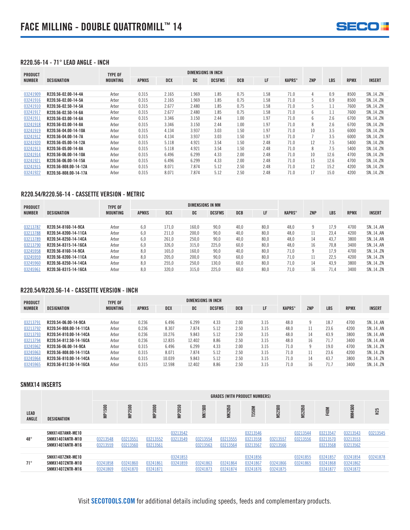

#### R220.56-14 - 71° LEAD ANGLE - INCH

| <b>PRODUCT</b> |                       | TYPE OF         | <b>DIMENSIONS IN INCH</b> |            |       |               |      |      |               |     |            |             |               |
|----------------|-----------------------|-----------------|---------------------------|------------|-------|---------------|------|------|---------------|-----|------------|-------------|---------------|
| <b>NUMBER</b>  | DESIGNATION           | <b>MOUNTING</b> | <b>APMXS</b>              | <b>DCX</b> | DC    | <b>DCSFMS</b> | DCB  | LF   | <b>KAPRS°</b> | ZNP | <b>LBS</b> | <b>RPMX</b> | <b>INSERT</b> |
|                |                       |                 |                           |            |       |               |      |      |               |     |            |             |               |
| 03241909       | R220.56-02.00-14-4A   | Arbor           | 0.315                     | 2.165      | 1.969 | 1.85          | 0.75 | 1.58 | 71.0          | 4   | 0.9        | 8500        | SN14ZN        |
| 03241916       | R220.56-02.00-14-5A   | Arbor           | 0.315                     | 2.165      | 1.969 | 1.85          | 0.75 | 1.58 | 71.0          | 5   | 0.9        | 8500        | SN14ZN        |
| 03241910       | R220.56-02.50-14-5A   | Arbor           | 0.315                     | 2.677      | 2.480 | 1.85          | 0.75 | 1.58 | 71.0          | 5   | 1.1        | 7600        | SN14ZN        |
| 03241917       | R220.56-02.50-14-6A   | Arbor           | 0.315                     | 2.677      | 2.480 | 1.85          | 0.75 | 1.58 | 71.0          | 6   | 1.1        | 7600        | SN14ZN        |
| 03241911       | R220.56-03.00-14-6A   | Arbor           | 0.315                     | 3.346      | 3.150 | 2.44          | 1.00 | 1.97 | 71.0          | 6   | 2.6        | 6700        | SN., 14., ZN  |
| 03241918       | R220.56-03.00-14-8A   | Arbor           | 0.315                     | 3.346      | 3.150 | 2.44          | 1.00 | 1.97 | 71.0          | 8   | 2.6        | 6700        | SN14.ZN       |
| 03241919       | R220.56-04.00-14-10A  | Arbor           | 0.315                     | 4.134      | 3.937 | 3.03          | 1.50 | 1.97 | 71.0          | 10  | 3.5        | 6000        | SN14ZN        |
| 03241912       | R220.56-04.00-14-7A   | Arbor           | 0.315                     | 4.134      | 3.937 | 3.03          | 1.50 | 1.97 | 71.0          |     | 3.5        | 6000        | SN14ZN        |
| 03241920       | R220.56-05.00-14-12A  | Arbor           | 0.315                     | 5.118      | 4.921 | 3.54          | 1.50 | 2.48 | 71.0          | 12  | 7.5        | 5400        | SN14ZN        |
| 03241913       | R220.56-05.00-14-8A   | Arbor           | 0.315                     | 5.118      | 4.921 | 3.54          | 1.50 | 2.48 | 71.0          | 8   | 7.5        | 5400        | SN14ZN        |
| 03241914       | R220.56-06.00-14-10A  | Arbor           | 0.315                     | 6.496      | 6.299 | 4.33          | 2.00 | 2.48 | 71.0          | 10  | 12.6       | 4700        | SN14ZN        |
| 03241921       | R220.56-06.00-14-15A  | Arbor           | 0.315                     | 6.496      | 6.299 | 4.33          | 2.00 | 2.48 | 71.0          | 15  | 12.6       | 4700        | SN14ZN        |
| 03241915       | R220.56-808.00-14-12A | Arbor           | 0.315                     | 8.071      | 7.874 | 5.12          | 2.50 | 2.48 | 71.0          | 12  | 15.2       | 4200        | SN14ZN        |
| 03241922       | R220.56-808.00-14-17A | Arbor           | 0.315                     | 8.071      | 7.874 | 5.12          | 2.50 | 2.48 | 71.0          | 17  | 15.0       | 4200        | SN14.ZN       |

#### R220.54/R220.56-14 - CASSETTE VERSION - METRIC

| <b>PRODUCT</b> |                      | <b>TYPE OF</b> |              |       | DIMENSIONS IN MM |               |            |      |               |            |      |             |               |
|----------------|----------------------|----------------|--------------|-------|------------------|---------------|------------|------|---------------|------------|------|-------------|---------------|
| <b>NUMBER</b>  | DESIGNATION          | MOUNTING       | <b>APMXS</b> | DCX   | DC               | <b>DCSFMS</b> | <b>DCB</b> | LF   | <b>KAPRS°</b> | <b>ZNP</b> | LBS  | <b>RPMX</b> | <b>INSERT</b> |
|                |                      |                |              |       |                  |               |            |      |               |            |      |             |               |
| 03213787       | R220.54-8160-14-9CA  | Arbor          | 6.0          | 171.0 | 160.0            | 90.0          | 40.0       | 80.0 | 48.0          |            | 17.9 | 4700        | SN14AN        |
| 03213788       | R220.54-8200-14-11CA | Arbor          | 6.0          | 211.0 | 200.0            | 90.0          | 40.0       | 80.0 | 48.0          |            | 23.4 | 4200        | SN14AN        |
| 03213789       | R220.54-8250-14-14CA | Arbor          | 6.0          | 261.0 | 250.0            | 90.0          | 40.0       | 80.0 | 48.0          | 14         | 43.7 | 3800        | SN14AN        |
| 03213790       | R220.54-8315-14-16CA | Arbor          | 6.0          | 326.0 | 315.0            | 225.0         | 60.0       | 80.0 | 48.0          | 16         | 70.8 | 3400        | SN14AN        |
| 03245958       | R220.56-8160-14-9CA  | Arbor          | 8.0          | 165.0 | 160.0            | 90.0          | 40.0       | 80.0 | 71.0          | q          | 17.9 | 4700        | SN14ZN        |
| 03245959       | R220.56-8200-14-11CA | Arbor          | 8.0          | 205.0 | 200.0            | 90.0          | 60.0       | 80.0 | 71.0          |            | 22.5 | 4200        | SN14ZN        |
| 03245960       | R220.56-8250-14-14CA | Arbor          | 8.0          | 255.0 | 250.0            | 130.0         | 60.0       | 80.0 | 71.0          | 14         | 43.9 | 3800        | SN14ZN        |
| 03245961       | R220.56-8315-14-16CA | Arbor          | 8.0          | 320.0 | 315.0            | 225.0         | 60.0       | 80.0 | 71.0          | 16         | 71.4 | 3400        | SN14ZN        |

#### R220.54/R220.56-14 - CASSETTE VERSION - INCH

| <b>PRODUCT</b> |                        | <b>TYPE OF</b> |              |        | <b>DIMENSIONS IN INCH</b> |               |            |      |               |            |            |             |               |
|----------------|------------------------|----------------|--------------|--------|---------------------------|---------------|------------|------|---------------|------------|------------|-------------|---------------|
| <b>NUMBER</b>  | DESIGNATION            | MOUNTING       | <b>APMXS</b> | DCX    | DC                        | <b>DCSFMS</b> | <b>DCB</b> | LF   | <b>KAPRS°</b> | <b>ZNP</b> | <b>LBS</b> | <b>RPMX</b> | <b>INSERT</b> |
|                |                        |                |              |        |                           |               |            |      |               |            |            |             |               |
| 0321379        | R220.54-06.00-14-9CA   | Arbor          | 0.236        | 6.496  | 6.299                     | 4.33          | 2.00       | 3.15 | 48.0          |            | 18.        | 4700        | SN., 14., AN  |
| 03213792       | R220.54-808.00-14-11CA | Arbor          | 0.236        | 8.307  | 7.874                     | 5.12          | 2.50       | 3.15 | 48.0          |            | 23.6       | 4200        | SN., 14., AN  |
| 03213793       | R220.54-810.00-14-14CA | Arbor          | 0.236        | 10.276 | 9.843                     | 5.12          | 2.50       | 3.15 | 48.0          |            | 43.9       | 3800        | SN., 14., AN  |
| 03213794       | R220.54-812.50-14-16CA | Arbor          | 0.236        | 12.835 | 12.402                    | 8.86          | 2.50       | 3.15 | 48.0          | 16         | 71.7       | 3400        | SN., 14., AN  |
| 03245962       | R220.56-06.00-14-9CA   | Arbor          | 0.315        | 6.496  | 6.299                     | 4.33          | 2.00       | 3.15 | 71.0          |            | 19.0       | 4700        | SN., 14., ZN  |
| 03245963       | R220.56-808.00-14-11CA | Arbor          | 0.315        | 8.071  | 7.874                     | 5.12          | 2.50       | 3.15 | 71.0          |            | 23.6       | 4200        | SN., 14., ZN  |
| 03245964       | R220.56-810.00-14-14CA | Arbor          | 0.315        | 10.039 | 9.843                     | 5.12          | 2.50       | 3.15 | 71.0          | 14         | 43.7       | 3800        | SN., 14., ZN  |
| 0324596        | R220.56-812.50-14-16CA | Arbor          | 0.315        | 12.598 | 12.402                    | 8.86          | 2.50       | 3.15 | 71.0          |            | 71.7       | 3400        | SN., 14., ZN  |

#### SNMX14 INSERTS

|                      |                         |                       | <b>GRADES (WITH PRODUCT NUMBERS)</b> |               |               |               |               |          |               |               |             |               |                 |
|----------------------|-------------------------|-----------------------|--------------------------------------|---------------|---------------|---------------|---------------|----------|---------------|---------------|-------------|---------------|-----------------|
| LEAD<br><b>ANGLE</b> | DESIGNATION             | ទី<br>$\ddot{\equiv}$ | MP2500                               | <b>MP3000</b> | <b>MP2050</b> | <b>MK1500</b> | <b>MK2050</b> | T350M    | <b>MS2500</b> | <b>MS2050</b> | <b>F40M</b> | <b>MM4500</b> | H <sub>25</sub> |
|                      |                         |                       |                                      |               |               |               |               |          |               |               |             |               |                 |
|                      | SNHX1407ANR-ME10        |                       |                                      |               | 03213542      |               |               | 03213546 |               | 03213544      | 03213547    | 03213543      | 03213545        |
| $48^\circ$           | SNMX1407ANTR-M10        | 03213548              | 03213551                             | 03213552      | 03213549      | 03213554      | 03213555      | 03213558 | 03213557      | 03213556      | 03213570    | 03213553      |                 |
|                      | SNMX1407ANTR-M16        | 03213559              | 03213560                             | 03213561      |               | 03213563      | 03213564      | 03213567 | 03213566      |               | 03213568    | 03213562      |                 |
|                      |                         |                       |                                      |               |               |               |               |          |               |               |             |               |                 |
|                      | SNHX1407ZNR-ME10        |                       |                                      |               | 03241853      |               |               | 03241856 |               | 03241855      | 03241857    | 03241854      | 03241878        |
| $71^{\circ}$         | SNMX1407ZNTR-M10        | 03241858              | 03241860                             | 03241861      | 03241859      | 03241863      | 03241864      | 03241867 | 03241866      | 03241865      | 03241868    | 03241862      |                 |
|                      | <b>SNMX1407ZNTR-M16</b> | 03241869              | 03241870                             | 03241871      |               | 03241873      | 03241874      | 03241876 | 03241875      |               | 03241877    | 03241872      |                 |